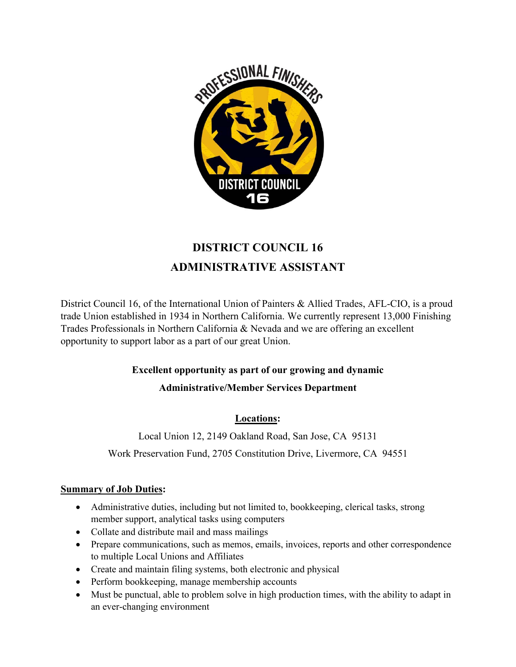

# **DISTRICT COUNCIL 16 ADMINISTRATIVE ASSISTANT**

District Council 16, of the International Union of Painters & Allied Trades, AFL-CIO, is a proud trade Union established in 1934 in Northern California. We currently represent 13,000 Finishing Trades Professionals in Northern California & Nevada and we are offering an excellent opportunity to support labor as a part of our great Union.

## **Excellent opportunity as part of our growing and dynamic**

## **Administrative/Member Services Department**

## **Locations:**

Local Union 12, 2149 Oakland Road, San Jose, CA 95131

Work Preservation Fund, 2705 Constitution Drive, Livermore, CA 94551

### **Summary of Job Duties:**

- Administrative duties, including but not limited to, bookkeeping, clerical tasks, strong member support, analytical tasks using computers
- Collate and distribute mail and mass mailings
- Prepare communications, such as memos, emails, invoices, reports and other correspondence to multiple Local Unions and Affiliates
- Create and maintain filing systems, both electronic and physical
- Perform bookkeeping, manage membership accounts
- Must be punctual, able to problem solve in high production times, with the ability to adapt in an ever-changing environment